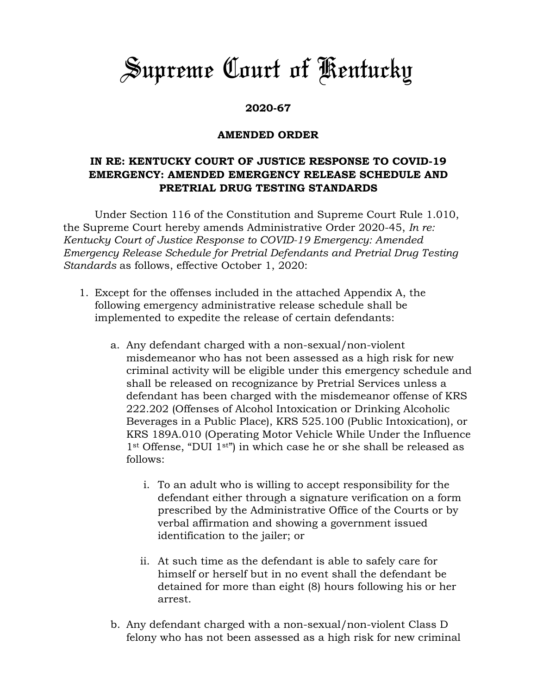## *Supreme Court of Kentucky*

## **2020-67**

## **AMENDED ORDER**

## **IN RE: KENTUCKY COURT OF JUSTICE RESPONSE TO COVID-19 EMERGENCY: AMENDED EMERGENCY RELEASE SCHEDULE AND PRETRIAL DRUG TESTING STANDARDS**

Under Section 116 of the Constitution and Supreme Court Rule 1.010, the Supreme Court hereby amends Administrative Order 2020-45, *In re: Kentucky Court of Justice Response to COVID-19 Emergency: Amended Emergency Release Schedule for Pretrial Defendants and Pretrial Drug Testing Standards* as follows, effective October 1, 2020:

- 1. Except for the offenses included in the attached Appendix A, the following emergency administrative release schedule shall be implemented to expedite the release of certain defendants:
	- a. Any defendant charged with a non-sexual/non-violent misdemeanor who has not been assessed as a high risk for new criminal activity will be eligible under this emergency schedule and shall be released on recognizance by Pretrial Services unless a defendant has been charged with the misdemeanor offense of KRS 222.202 (Offenses of Alcohol Intoxication or Drinking Alcoholic Beverages in a Public Place), KRS 525.100 (Public Intoxication), or KRS 189A.010 (Operating Motor Vehicle While Under the Influence 1st Offense, "DUI 1st") in which case he or she shall be released as follows:
		- i. To an adult who is willing to accept responsibility for the defendant either through a signature verification on a form prescribed by the Administrative Office of the Courts or by verbal affirmation and showing a government issued identification to the jailer; or
		- ii. At such time as the defendant is able to safely care for himself or herself but in no event shall the defendant be detained for more than eight (8) hours following his or her arrest.
	- b. Any defendant charged with a non-sexual/non-violent Class D felony who has not been assessed as a high risk for new criminal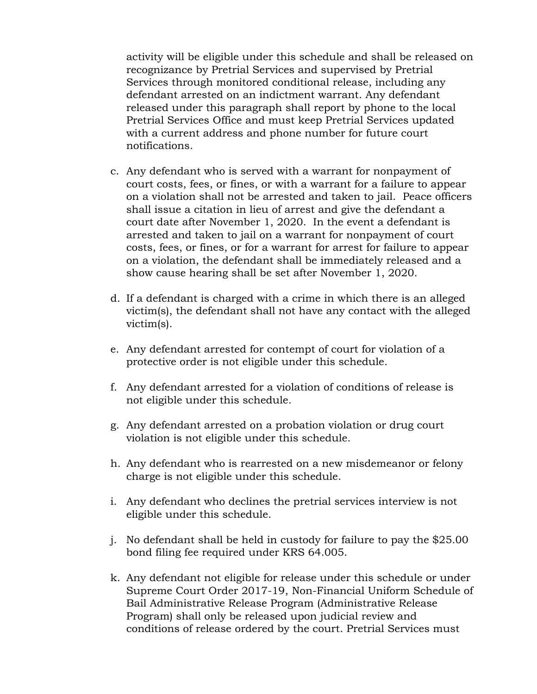activity will be eligible under this schedule and shall be released on recognizance by Pretrial Services and supervised by Pretrial Services through monitored conditional release, including any defendant arrested on an indictment warrant. Any defendant released under this paragraph shall report by phone to the local Pretrial Services Office and must keep Pretrial Services updated with a current address and phone number for future court notifications.

- c. Any defendant who is served with a warrant for nonpayment of court costs, fees, or fines, or with a warrant for a failure to appear on a violation shall not be arrested and taken to jail. Peace officers shall issue a citation in lieu of arrest and give the defendant a court date after November 1, 2020. In the event a defendant is arrested and taken to jail on a warrant for nonpayment of court costs, fees, or fines, or for a warrant for arrest for failure to appear on a violation, the defendant shall be immediately released and a show cause hearing shall be set after November 1, 2020.
- d. If a defendant is charged with a crime in which there is an alleged victim(s), the defendant shall not have any contact with the alleged victim(s).
- e. Any defendant arrested for contempt of court for violation of a protective order is not eligible under this schedule.
- f. Any defendant arrested for a violation of conditions of release is not eligible under this schedule.
- g. Any defendant arrested on a probation violation or drug court violation is not eligible under this schedule.
- h. Any defendant who is rearrested on a new misdemeanor or felony charge is not eligible under this schedule.
- i. Any defendant who declines the pretrial services interview is not eligible under this schedule.
- j. No defendant shall be held in custody for failure to pay the \$25.00 bond filing fee required under KRS 64.005.
- k. Any defendant not eligible for release under this schedule or under Supreme Court Order 2017-19, Non-Financial Uniform Schedule of Bail Administrative Release Program (Administrative Release Program) shall only be released upon judicial review and conditions of release ordered by the court. Pretrial Services must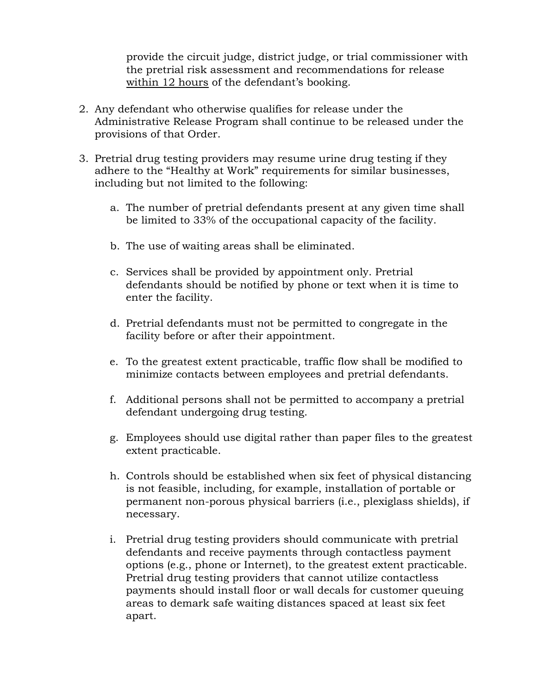provide the circuit judge, district judge, or trial commissioner with the pretrial risk assessment and recommendations for release within 12 hours of the defendant's booking.

- 2. Any defendant who otherwise qualifies for release under the Administrative Release Program shall continue to be released under the provisions of that Order.
- 3. Pretrial drug testing providers may resume urine drug testing if they adhere to the "Healthy at Work" requirements for similar businesses, including but not limited to the following:
	- a. The number of pretrial defendants present at any given time shall be limited to 33% of the occupational capacity of the facility.
	- b. The use of waiting areas shall be eliminated.
	- c. Services shall be provided by appointment only. Pretrial defendants should be notified by phone or text when it is time to enter the facility.
	- d. Pretrial defendants must not be permitted to congregate in the facility before or after their appointment.
	- e. To the greatest extent practicable, traffic flow shall be modified to minimize contacts between employees and pretrial defendants.
	- f. Additional persons shall not be permitted to accompany a pretrial defendant undergoing drug testing.
	- g. Employees should use digital rather than paper files to the greatest extent practicable.
	- h. Controls should be established when six feet of physical distancing is not feasible, including, for example, installation of portable or permanent non-porous physical barriers (i.e., plexiglass shields), if necessary.
	- i. Pretrial drug testing providers should communicate with pretrial defendants and receive payments through contactless payment options (e.g., phone or Internet), to the greatest extent practicable. Pretrial drug testing providers that cannot utilize contactless payments should install floor or wall decals for customer queuing areas to demark safe waiting distances spaced at least six feet apart.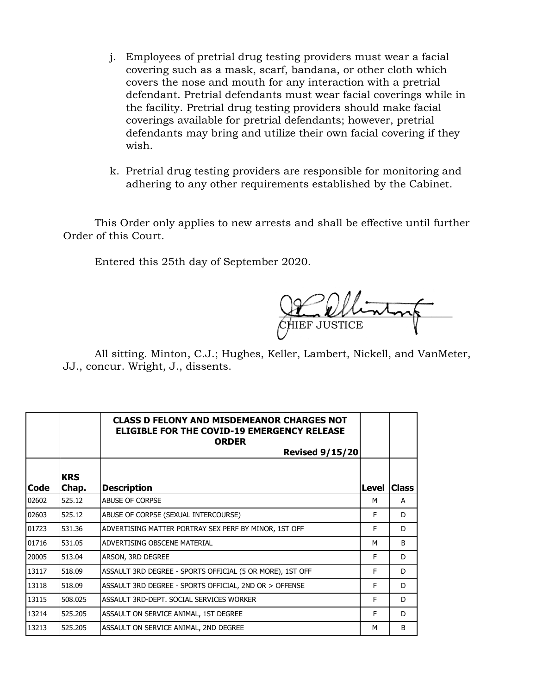- j. Employees of pretrial drug testing providers must wear a facial covering such as a mask, scarf, bandana, or other cloth which covers the nose and mouth for any interaction with a pretrial defendant. Pretrial defendants must wear facial coverings while in the facility. Pretrial drug testing providers should make facial coverings available for pretrial defendants; however, pretrial defendants may bring and utilize their own facial covering if they wish.
- k. Pretrial drug testing providers are responsible for monitoring and adhering to any other requirements established by the Cabinet.

This Order only applies to new arrests and shall be effective until further Order of this Court.

Entered this 25th day of September 2020.

 $\sqrt{2\pi\hbar}$ CHIEF JUSTICE

All sitting. Minton, C.J.; Hughes, Keller, Lambert, Nickell, and VanMeter, JJ., concur. Wright, J., dissents.

|       |                     | <b>CLASS D FELONY AND MISDEMEANOR CHARGES NOT</b><br><b>ELIGIBLE FOR THE COVID-19 EMERGENCY RELEASE</b><br><b>ORDER</b><br><b>Revised 9/15/20</b> |       |              |
|-------|---------------------|---------------------------------------------------------------------------------------------------------------------------------------------------|-------|--------------|
| Code  | <b>KRS</b><br>Chap. | <b>Description</b>                                                                                                                                | Level | <b>Class</b> |
| 02602 | 525.12              | ABUSE OF CORPSE                                                                                                                                   | м     | A            |
| 02603 | 525.12              | ABUSE OF CORPSE (SEXUAL INTERCOURSE)                                                                                                              | F     | D            |
| 01723 | 531.36              | ADVERTISING MATTER PORTRAY SEX PERF BY MINOR, 1ST OFF                                                                                             | F     | D            |
| 01716 | 531.05              | ADVERTISING OBSCENE MATERIAL                                                                                                                      | M     | B            |
| 20005 | 513.04              | ARSON, 3RD DEGREE                                                                                                                                 | F     | D            |
| 13117 | 518.09              | ASSAULT 3RD DEGREE - SPORTS OFFICIAL (5 OR MORE), 1ST OFF                                                                                         | F     | D            |
| 13118 | 518.09              | ASSAULT 3RD DEGREE - SPORTS OFFICIAL, 2ND OR > OFFENSE                                                                                            | F     | D            |
| 13115 | 508.025             | ASSAULT 3RD-DEPT. SOCIAL SERVICES WORKER                                                                                                          | F     | D            |
| 13214 | 525.205             | ASSAULT ON SERVICE ANIMAL, 1ST DEGREE                                                                                                             | F     | D            |
| 13213 | 525.205             | ASSAULT ON SERVICE ANIMAL, 2ND DEGREE                                                                                                             | M     | B            |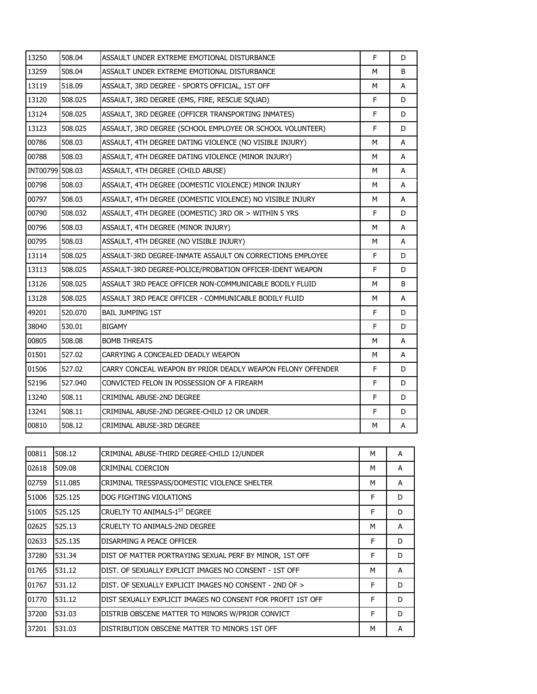| 13250           | 508.04  | ASSAULT UNDER EXTREME EMOTIONAL DISTURBANCE                 | F  | D |
|-----------------|---------|-------------------------------------------------------------|----|---|
| 13259           | 508.04  | ASSAULT UNDER EXTREME EMOTIONAL DISTURBANCE                 | М  | B |
| 13119           | 518.09  | ASSAULT, 3RD DEGREE - SPORTS OFFICIAL, 1ST OFF              | м  | A |
| 13120           | 508.025 | ASSAULT, 3RD DEGREE (EMS, FIRE, RESCUE SQUAD)               | F  | D |
| 13124           | 508.025 | ASSAULT, 3RD DEGREE (OFFICER TRANSPORTING INMATES)          | F  | D |
| 13123           | 508.025 | ASSAULT, 3RD DEGREE (SCHOOL EMPLOYEE OR SCHOOL VOLUNTEER)   | F  | D |
| 00786           | 508.03  | ASSAULT, 4TH DEGREE DATING VIOLENCE (NO VISIBLE INJURY)     | М  | A |
| 00788           | 508.03  | ASSAULT, 4TH DEGREE DATING VIOLENCE (MINOR INJURY)          | М  | A |
| INT00799 508.03 |         | ASSAULT, 4TH DEGREE (CHILD ABUSE)                           | М  | A |
| 00798           | 508.03  | ASSAULT, 4TH DEGREE (DOMESTIC VIOLENCE) MINOR INJURY        | М  | A |
| 00797           | 508.03  | ASSAULT, 4TH DEGREE (DOMESTIC VIOLENCE) NO VISIBLE INJURY   | М  | A |
| 00790           | 508.032 | ASSAULT, 4TH DEGREE (DOMESTIC) 3RD OR > WITHIN 5 YRS        | F  | D |
| 00796           | 508.03  | ASSAULT, 4TH DEGREE (MINOR INJURY)                          | М  | A |
| 00795           | 508.03  | ASSAULT, 4TH DEGREE (NO VISIBLE INJURY)                     | м  | A |
| 13114           | 508.025 | ASSAULT-3RD DEGREE-INMATE ASSAULT ON CORRECTIONS EMPLOYEE   | F. | D |
| 13113           | 508.025 | ASSAULT-3RD DEGREE-POLICE/PROBATION OFFICER-IDENT WEAPON    | F  | D |
| 13126           | 508.025 | ASSAULT 3RD PEACE OFFICER NON-COMMUNICABLE BODILY FLUID     | М  | B |
| 13128           | 508.025 | ASSAULT 3RD PEACE OFFICER - COMMUNICABLE BODILY FLUID       | М  | A |
| 49201           | 520.070 | <b>BAIL JUMPING 1ST</b>                                     | F  | D |
| 38040           | 530.01  | <b>BIGAMY</b>                                               | F  | D |
| 00805           | 508.08  | <b>BOMB THREATS</b>                                         | М  | A |
| 01501           | 527.02  | CARRYING A CONCEALED DEADLY WEAPON                          | М  | A |
| 01506           | 527.02  | CARRY CONCEAL WEAPON BY PRIOR DEADLY WEAPON FELONY OFFENDER | F  | D |
| 52196           | 527.040 | CONVICTED FELON IN POSSESSION OF A FIREARM                  | F  | D |
| 13240           | 508.11  | CRIMINAL ABUSE-2ND DEGREE                                   | F  | D |
| 13241           | 508.11  | CRIMINAL ABUSE-2ND DEGREE-CHILD 12 OR UNDER                 | F  | D |
| 00810           | 508.12  | CRIMINAL ABUSE-3RD DEGREE                                   | М  | А |

| 00811 | 508.12  | CRIMINAL ABUSE-THIRD DEGREE-CHILD 12/UNDER                  | M | A |
|-------|---------|-------------------------------------------------------------|---|---|
| 02618 | 509.08  | CRIMINAL COERCION                                           | м | A |
| 02759 | 511.085 | CRIMINAL TRESSPASS/DOMESTIC VIOLENCE SHELTER                | м | A |
| 51006 | 525.125 | DOG FIGHTING VIOLATIONS                                     | F | D |
| 51005 | 525.125 | CRUELTY TO ANIMALS-1ST DEGREE                               | F | D |
| 02625 | 525.13  | CRUELTY TO ANIMALS-2ND DEGREE                               | M | A |
| 02633 | 525.135 | DISARMING A PEACE OFFICER                                   | F | D |
| 37280 | 531.34  | DIST OF MATTER PORTRAYING SEXUAL PERF BY MINOR, 1ST OFF     | F | D |
| 01765 | 531.12  | DIST. OF SEXUALLY EXPLICIT IMAGES NO CONSENT - 1ST OFF      | M | A |
| 01767 | 531.12  | DIST. OF SEXUALLY EXPLICIT IMAGES NO CONSENT - 2ND OF >     | F | D |
| 01770 | 531.12  | DIST SEXUALLY EXPLICIT IMAGES NO CONSENT FOR PROFIT 1ST OFF | F | D |
| 37200 | 531.03  | DISTRIB OBSCENE MATTER TO MINORS W/PRIOR CONVICT            | F | D |
| 37201 | 531.03  | DISTRIBUTION OBSCENE MATTER TO MINORS 1ST OFF               | M | A |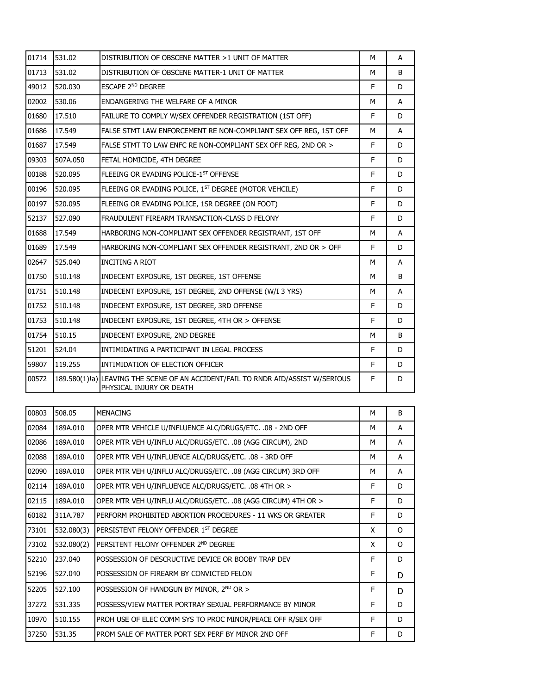| 01714 | 531.02   | DISTRIBUTION OF OBSCENE MATTER >1 UNIT OF MATTER                                                             | M | A  |
|-------|----------|--------------------------------------------------------------------------------------------------------------|---|----|
| 01713 | 531.02   | DISTRIBUTION OF OBSCENE MATTER-1 UNIT OF MATTER                                                              | M | B  |
| 49012 | 520.030  | ESCAPE 2 <sup>ND</sup> DEGREE                                                                                | F | D. |
| 02002 | 530.06   | ENDANGERING THE WELFARE OF A MINOR                                                                           | M | A  |
| 01680 | 17.510   | FAILURE TO COMPLY W/SEX OFFENDER REGISTRATION (1ST OFF)                                                      | F | D  |
| 01686 | 17.549   | FALSE STMT LAW ENFORCEMENT RE NON-COMPLIANT SEX OFF REG, 1ST OFF                                             | м | A  |
| 01687 | 17.549   | FALSE STMT TO LAW ENFC RE NON-COMPLIANT SEX OFF REG, 2ND OR >                                                | F | D  |
| 09303 | 507A.050 | FETAL HOMICIDE, 4TH DEGREE                                                                                   | F | D  |
| 00188 | 520.095  | FLEEING OR EVADING POLICE-1ST OFFENSE                                                                        | F | D. |
| 00196 | 520.095  | FLEEING OR EVADING POLICE, 1ST DEGREE (MOTOR VEHCILE)                                                        | E | D  |
| 00197 | 520.095  | FLEEING OR EVADING POLICE, 1SR DEGREE (ON FOOT)                                                              | F | D  |
| 52137 | 527.090  | FRAUDULENT FIREARM TRANSACTION-CLASS D FELONY                                                                | F | D  |
| 01688 | 17.549   | HARBORING NON-COMPLIANT SEX OFFENDER REGISTRANT, 1ST OFF                                                     | M | A  |
| 01689 | 17.549   | HARBORING NON-COMPLIANT SEX OFFENDER REGISTRANT, 2ND OR > OFF                                                | F | D  |
| 02647 | 525.040  | <b>INCITING A RIOT</b>                                                                                       | M | A  |
| 01750 | 510.148  | INDECENT EXPOSURE, 1ST DEGREE, 1ST OFFENSE                                                                   | M | B  |
| 01751 | 510.148  | INDECENT EXPOSURE, 1ST DEGREE, 2ND OFFENSE (W/I 3 YRS)                                                       | м | A  |
| 01752 | 510.148  | INDECENT EXPOSURE, 1ST DEGREE, 3RD OFFENSE                                                                   | F | D  |
| 01753 | 510.148  | INDECENT EXPOSURE, 1ST DEGREE, 4TH OR > OFFENSE                                                              | F | D  |
| 01754 | 510.15   | INDECENT EXPOSURE, 2ND DEGREE                                                                                | М | B  |
| 51201 | 524.04   | INTIMIDATING A PARTICIPANT IN LEGAL PROCESS                                                                  | F | D  |
| 59807 | 119.255  | INTIMIDATION OF ELECTION OFFICER                                                                             | F | D  |
| 00572 |          | 189.580(1)!a) LEAVING THE SCENE OF AN ACCIDENT/FAIL TO RNDR AID/ASSIST W/SERIOUS<br>PHYSICAL INJURY OR DEATH | F | D  |
|       |          |                                                                                                              |   |    |

| 00803 | 508.05     | <b>MENACING</b>                                               | м  | B        |
|-------|------------|---------------------------------------------------------------|----|----------|
| 02084 | 189A.010   | OPER MTR VEHICLE U/INFLUENCE ALC/DRUGS/ETC. .08 - 2ND OFF     | м  | A        |
| 02086 | 189A.010   | OPER MTR VEH U/INFLU ALC/DRUGS/ETC. .08 (AGG CIRCUM), 2ND     | м  | A        |
| 02088 | 189A.010   | OPER MTR VEH U/INFLUENCE ALC/DRUGS/ETC. .08 - 3RD OFF         | м  | A        |
| 02090 | 189A.010   | OPER MTR VEH U/INFLU ALC/DRUGS/ETC. .08 (AGG CIRCUM) 3RD OFF  | м  | A        |
| 02114 | 189A.010   | OPER MTR VEH U/INFLUENCE ALC/DRUGS/ETC. .08 4TH OR >          | F. | D        |
| 02115 | 189A.010   | OPER MTR VEH U/INFLU ALC/DRUGS/ETC. .08 (AGG CIRCUM) 4TH OR > | F  | D        |
| 60182 | 311A.787   | PERFORM PROHIBITED ABORTION PROCEDURES - 11 WKS OR GREATER    | F  | D        |
| 73101 | 532.080(3) | PERSISTENT FELONY OFFENDER 1 <sup>ST</sup> DEGREE             | X  | O        |
| 73102 | 532.080(2) | PERSITENT FELONY OFFENDER 2ND DEGREE                          | X  | $\Omega$ |
| 52210 | 237.040    | POSSESSION OF DESCRUCTIVE DEVICE OR BOOBY TRAP DEV            | F  | D        |
| 52196 | 527.040    | POSSESSION OF FIREARM BY CONVICTED FELON                      | F  | D        |
| 52205 | 527.100    | POSSESSION OF HANDGUN BY MINOR, 2ND OR >                      | F  | D        |
| 37272 | 531.335    | POSSESS/VIEW MATTER PORTRAY SEXUAL PERFORMANCE BY MINOR       | F. | D        |
| 10970 | 510.155    | PROH USE OF ELEC COMM SYS TO PROC MINOR/PEACE OFF R/SEX OFF   | F  | D        |
| 37250 | 531.35     | PROM SALE OF MATTER PORT SEX PERF BY MINOR 2ND OFF            | F  | D        |
|       |            |                                                               |    |          |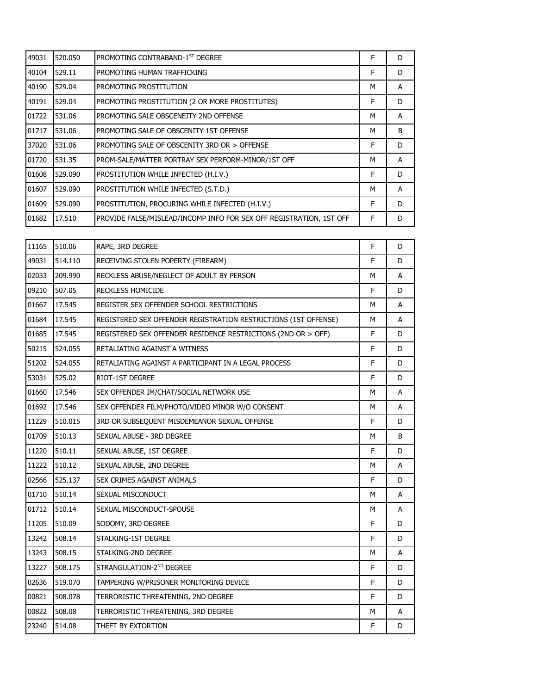| 49031 | 520.050 | PROMOTING CONTRABAND-1ST DEGREE                                     | F | D            |
|-------|---------|---------------------------------------------------------------------|---|--------------|
| 40104 | 529.11  | PROMOTING HUMAN TRAFFICKING                                         | F | D            |
| 40190 | 529.04  | PROMOTING PROSTITUTION                                              | M | A            |
| 40191 | 529.04  | PROMOTING PROSTITUTION (2 OR MORE PROSTITUTES)                      | F | D            |
| 01722 | 531.06  | PROMOTING SALE OBSCENEITY 2ND OFFENSE                               | м | A            |
| 01717 | 531.06  | PROMOTING SALE OF OBSCENITY 1ST OFFENSE                             | M | <sub>B</sub> |
| 37020 | 531.06  | PROMOTING SALE OF OBSCENITY 3RD OR > OFFENSE                        | F | D            |
| 01720 | 531.35  | PROM-SALE/MATTER PORTRAY SEX PERFORM-MINOR/1ST OFF                  | M | A            |
| 01608 | 529.090 | PROSTITUTION WHILE INFECTED (H.I.V.)                                | F | D            |
| 01607 | 529.090 | PROSTITUTION WHILE INFECTED (S.T.D.)                                | м | A            |
| 01609 | 529.090 | PROSTITUTION, PROCURING WHILE INFECTED (H.I.V.)                     | F | D            |
| 01682 | 17.510  | PROVIDE FALSE/MISLEAD/INCOMP INFO FOR SEX OFF REGISTRATION, 1ST OFF | F | D            |

| 11165 | 510.06  | RAPE, 3RD DEGREE                                                | F | D |
|-------|---------|-----------------------------------------------------------------|---|---|
| 49031 | 514.110 | RECEIVING STOLEN POPERTY (FIREARM)                              | F | D |
| 02033 | 209.990 | RECKLESS ABUSE/NEGLECT OF ADULT BY PERSON                       | М | A |
| 09210 | 507.05  | RECKLESS HOMICIDE                                               | F | D |
| 01667 | 17.545  | REGISTER SEX OFFENDER SCHOOL RESTRICTIONS                       | M | A |
| 01684 | 17.545  | REGISTERED SEX OFFENDER REGISTRATION RESTRICTIONS (1ST OFFENSE) | М | A |
| 01685 | 17.545  | REGISTERED SEX OFFENDER RESIDENCE RESTRICTIONS (2ND OR > OFF)   | F | D |
| 50215 | 524.055 | RETALIATING AGAINST A WITNESS                                   | F | D |
| 51202 | 524.055 | RETALIATING AGAINST A PARTICIPANT IN A LEGAL PROCESS            | F | D |
| 53031 | 525.02  | RIOT-1ST DEGREE                                                 | F | D |
| 01660 | 17.546  | SEX OFFENDER IM/CHAT/SOCIAL NETWORK USE                         | M | A |
| 01692 | 17.546  | SEX OFFENDER FILM/PHOTO/VIDEO MINOR W/O CONSENT                 | М | A |
| 11229 | 510.015 | 3RD OR SUBSEQUENT MISDEMEANOR SEXUAL OFFENSE                    | F | D |
| 01709 | 510.13  | SEXUAL ABUSE - 3RD DEGREE                                       | М | B |
| 11220 | 510.11  | SEXUAL ABUSE, 1ST DEGREE                                        | F | D |
| 11222 | 510.12  | SEXUAL ABUSE, 2ND DEGREE                                        | M | A |
| 02566 | 525.137 | SEX CRIMES AGAINST ANIMALS                                      | F | D |
| 01710 | 510.14  | SEXUAL MISCONDUCT                                               | М | A |
| 01712 | 510.14  | SEXUAL MISCONDUCT-SPOUSE                                        | М | A |
| 11205 | 510.09  | SODOMY, 3RD DEGREE                                              | F | D |
| 13242 | 508.14  | STALKING-1ST DEGREE                                             | F | D |
| 13243 | 508.15  | STALKING-2ND DEGREE                                             | М | Α |
| 13227 | 508.175 | STRANGULATION-2ND DEGREE                                        | F | D |
| 02636 | 519.070 | TAMPERING W/PRISONER MONITORING DEVICE                          | F | D |
| 00821 | 508.078 | TERRORISTIC THREATENING, 2ND DEGREE                             | F | D |
| 00822 | 508.08  | TERRORISTIC THREATENING, 3RD DEGREE                             | М | A |
| 23240 | 514.08  | THEFT BY EXTORTION                                              | F | D |